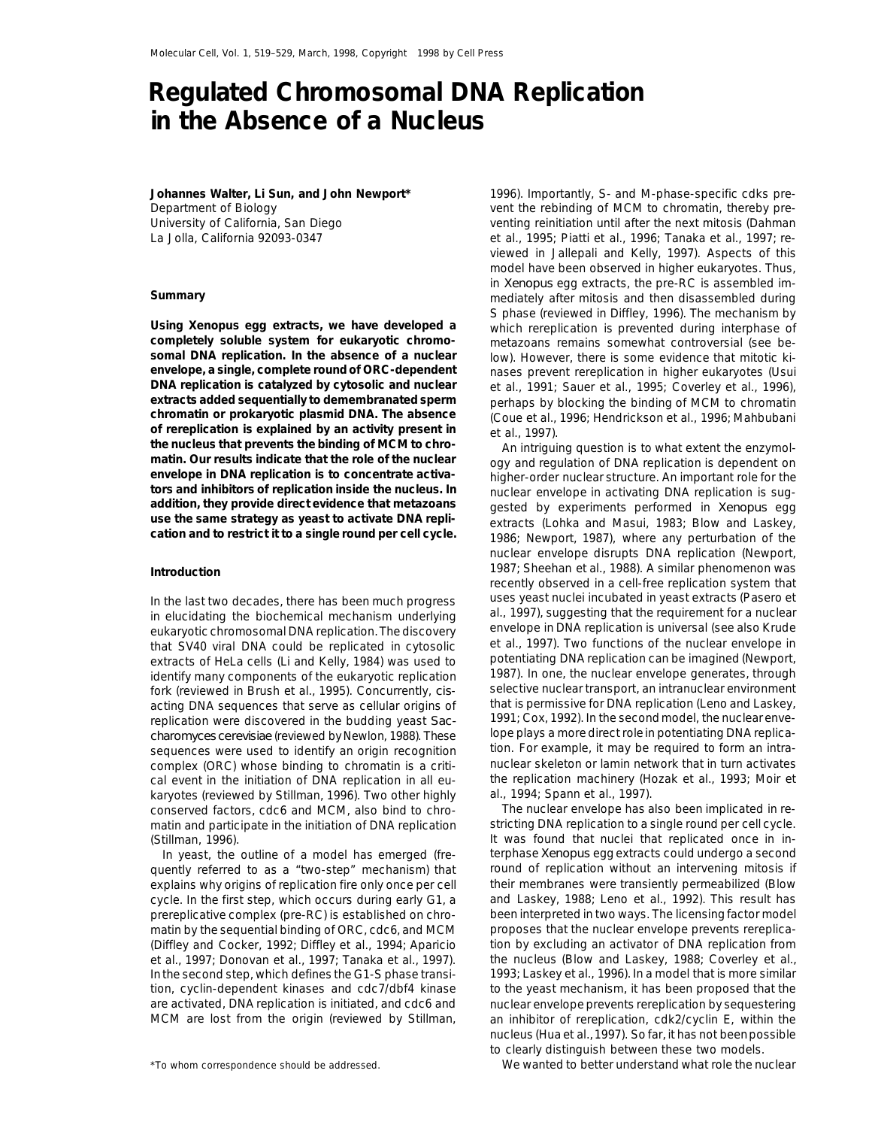## **Regulated Chromosomal DNA Replication in the Absence of a Nucleus**

**Johannes Walter, Li Sun, and John Newport\*** Department of Biology University of California, San Diego

**completely soluble system for eukaryotic chromo-** metazoans remains somewhat controversial (see be**of rereplication is explained by an activity present in** et al., 1997).<br> **the nucleus that prevents the binding of MCM to chro-**

that SV40 viral DNA could be replicated in cytosolic et al., 1997). Two functions of the nuclear envelope in<br>extracts of Hel a cells (Li and Kelly 1984) was used to potentiating DNA replication can be imagined (Newport, extracts of HeLa cells (Li and Kelly, 1984) was used to potentiating DNA replication can be imagined (Newport, identify many components of the eukaryotic replication [1987]. In one, the nuclear envelope generates, through<br>fork (reviewed in Brush et al. 1995). Concurrently, cis- [1] Selective nuclear transport, an intranuclear envir fork (reviewed in Brush et al., 1995). Concurrently, *cis*- selective nuclear transport, an intranuclear environment<br>acting DNA sequences that serve as cellular origins of that is permissive for DNA replication (Leno and L acting DNA sequences that serve as cellular origins of that is permissive for DNA replication (Leno and Laskey,<br>replication were discovered in the budding yeast *Sac-* 1991; Cox, 1992). In the second model, the nuclear env replication were discovered in the budding yeast *Sac-* 1991; Cox, 1992). In the second model, the nuclear enve-<br>*charomyces cerevisiae* (reviewed by Newlon, 1988). These lope plays a more direct role in potentiating DNA r *charomyces cerevisiae* (reviewed by Newlon, 1988). These lope plays a more direct role in potentiating DNA replica-<br>sequences were used to identify an origin recognition lion. For example, it may be required to form an in sequences were used to identify an origin recognition tion. For example, it may be required to form an intra-<br>complex (ORC) whose binding to chromatin is a criti- the proclear skeleton or lamin network that in turn activat complex (ORC) whose binding to chromatin is a criti- nuclear skeleton or lamin network that in turn activates cal event in the initiation of DNA replication in all eukaryotes (reviewed by Stillman, 1996). Two other highly al., 1994; Spann et al., 1997). conserved factors, cdc6 and MCM, also bind to chro- The nuclear envelope has also been implicated in rematin and participate in the initiation of DNA replication stricting DNA replication to a single round per cell cycle. (Stillman, 1996). It was found that nuclei that replicated once in in-

quently referred to as a "two-step" mechanism) that round of replication without an intervening mitosis if explains why origins of replication fire only once per cell their membranes were transiently permeabilized (Blow cycle. In the first step, which occurs during early G1, a and Laskey, 1988; Leno et al., 1992). This result has prereplicative complex (pre-RC) is established on chro- been interpreted in two ways. The licensing factor model matin by the sequential binding of ORC, cdc6, and MCM proposes that the nuclear envelope prevents rereplica-(Diffley and Cocker, 1992; Diffley et al., 1994; Aparicio tion by excluding an activator of DNA replication from et al., 1997; Donovan et al., 1997; Tanaka et al., 1997). the nucleus (Blow and Laskey, 1988; Coverley et al., In the second step, which defines the G1-S phase transi- 1993; Laskey et al., 1996). In a model that is more similar tion, cyclin-dependent kinases and cdc7/dbf4 kinase to the yeast mechanism, it has been proposed that the are activated, DNA replication is initiated, and cdc6 and nuclear envelope prevents rereplication by sequestering

1996). Importantly, S- and M-phase-specific cdks prevent the rebinding of MCM to chromatin, thereby preventing reinitiation until after the next mitosis (Dahman La Jolla, California 92093-0347 et al., 1995; Piatti et al., 1996; Tanaka et al., 1997; reviewed in Jallepali and Kelly, 1997). Aspects of this model have been observed in higher eukaryotes. Thus, in *Xenopus* egg extracts, the pre-RC is assembled im-**Summary** mediately after mitosis and then disassembled during S phase (reviewed in Diffley, 1996). The mechanism by **Using** *Xenopus* **egg extracts, we have developed a** which rereplication is prevented during interphase of **somal DNA replication. In the absence of a nuclear** low). However, there is some evidence that mitotic ki**envelope, a single, complete round of ORC-dependent** nases prevent rereplication in higher eukaryotes (Usui **DNA replication is catalyzed by cytosolic and nuclear** et al., 1991; Sauer et al., 1995; Coverley et al., 1996), **extracts added sequentially to demembranated sperm** perhaps by blocking the binding of MCM to chromatin **chromatin or prokaryotic plasmid DNA. The absence** (Coue et al., 1996; Hendrickson et al., 1996; Mahbubani

the nucleus that prevents the binding of MCM to chro<br>
matin. Our results indicate that the role of the nuclear<br>
envelope in DNA replication is to concentrate activa-<br>
tors and inhibitors of replication inside the nucleus. nuclear envelope disrupts DNA replication (Newport, 1987; Sheehan et al., 1988). A similar phenomenon was **Introduction** recently observed in a cell-free replication system that In the last two decades, there has been much progress uses yeast nuclei incubated in yeast extracts (Pasero et<br>in elucidating the biochemical mechanism underlying al., 1997), suggesting that the requirement for a nuclear<br>e

In yeast, the outline of a model has emerged (fre- terphase *Xenopus* egg extracts could undergo a second MCM are lost from the origin (reviewed by Stillman, an inhibitor of rereplication, cdk2/cyclin E, within the nucleus (Hua et al.,1997). So far, it has not beenpossible to clearly distinguish between these two models.

\*To whom correspondence should be addressed. We wanted to better understand what role the nuclear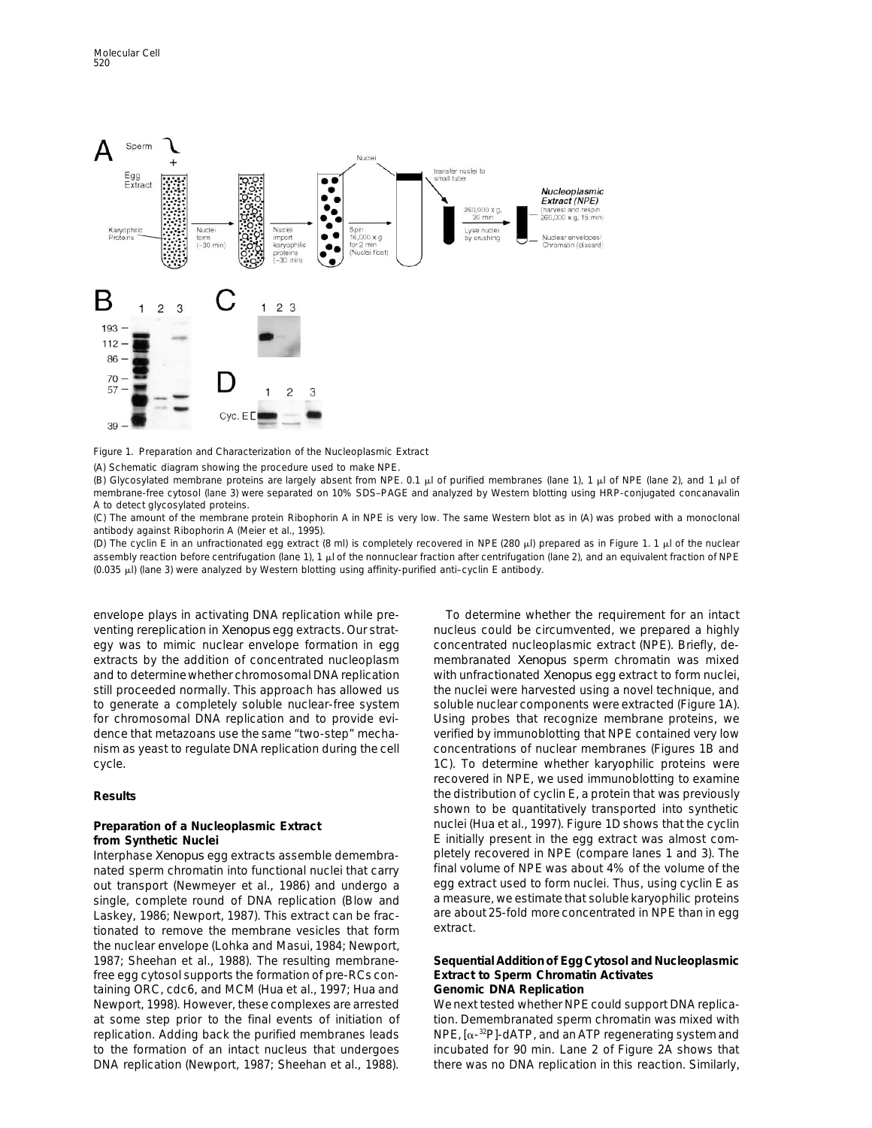

Figure 1. Preparation and Characterization of the Nucleoplasmic Extract

(A) Schematic diagram showing the procedure used to make NPE.

(B) Glycosylated membrane proteins are largely absent from NPE. 0.1  $\mu$  of purified membranes (lane 1), 1  $\mu$  of NPE (lane 2), and 1  $\mu$  of membrane-free cytosol (lane 3) were separated on 10% SDS–PAGE and analyzed by Western blotting using HRP-conjugated concanavalin A to detect glycosylated proteins.

(C) The amount of the membrane protein Ribophorin A in NPE is very low. The same Western blot as in (A) was probed with a monoclonal antibody against Ribophorin A (Meier et al., 1995).

(D) The cyclin E in an unfractionated egg extract (8 ml) is completely recovered in NPE (280  $\mu$ l) prepared as in Figure 1. 1  $\mu$ l of the nuclear assembly reaction before centrifugation (lane 1), 1 µl of the nonnuclear fraction after centrifugation (lane 2), and an equivalent fraction of NPE  $(0.035 \mu)$  (lane 3) were analyzed by Western blotting using affinity-purified anti–cyclin E antibody.

envelope plays in activating DNA replication while pre- To determine whether the requirement for an intact venting rereplication in *Xenopus* egg extracts. Our strat- nucleus could be circumvented, we prepared a highly egy was to mimic nuclear envelope formation in egg concentrated nucleoplasmic extract (NPE). Briefly, deextracts by the addition of concentrated nucleoplasm membranated *Xenopus* sperm chromatin was mixed and to determine whether chromosomal DNA replication with unfractionated *Xenopus* egg extract to form nuclei, still proceeded normally. This approach has allowed us the nuclei were harvested using a novel technique, and to generate a completely soluble nuclear-free system soluble nuclear components were extracted (Figure 1A). for chromosomal DNA replication and to provide evi- Using probes that recognize membrane proteins, we dence that metazoans use the same "two-step" mecha- verified by immunoblotting that NPE contained very low nism as yeast to regulate DNA replication during the cell concentrations of nuclear membranes (Figures 1B and

Interphase *Xenopus* egg extracts assemble demembra- pletely recovered in NPE (compare lanes 1 and 3). The nated sperm chromatin into functional nuclei that carry final volume of NPE was about 4% of the volume of the<br>out transport (Newmever et al., 1986) and undergo a streep extract used to form nuclei. Thus, using cyclin E as out transport (Newmeyer et al., 1986) and undergo a egg extract used to form nuclei. Thus, using cyclin E as<br>single, complete round of DNA replication (Blow and a measure, we estimate that soluble karyophilic proteins single, complete round of DNA replication (Blow and a measure, we estimate that soluble karyophilic proteins<br>Laskey, 1986; Newport, 1987), This extract can be frac- are about 25-fold more concentrated in NPE than in egg Laskey, 1986; Newport, 1987). This extract can be fractionated to remove the membrane vesicles that form extract. the nuclear envelope (Lohka and Masui, 1984; Newport, 1987; Sheehan et al., 1988). The resulting membrane- **Sequential Addition of Egg Cytosol and Nucleoplasmic** free egg cytosol supports the formation of pre-RCs con- **Extract to Sperm Chromatin Activates** taining ORC, cdc6, and MCM (Hua et al., 1997; Hua and **Genomic DNA Replication** Newport, 1998). However, these complexes are arrested We next tested whether NPE could support DNA replicaat some step prior to the final events of initiation of tion. Demembranated sperm chromatin was mixed with replication. Adding back the purified membranes leads  $\qquad NPE$ ,  $[\alpha^{-32}P]$ -dATP, and an ATP regenerating system and to the formation of an intact nucleus that undergoes incubated for 90 min. Lane 2 of Figure 2A shows that DNA replication (Newport, 1987; Sheehan et al., 1988). there was no DNA replication in this reaction. Similarly,

cycle. 1C). To determine whether karyophilic proteins were recovered in NPE, we used immunoblotting to examine **Results** the distribution of cyclin E, a protein that was previously shown to be quantitatively transported into synthetic **Preparation of a Nucleoplasmic Extract** nuclei (Hua et al., 1997). Figure 1D shows that the cyclin **from Synthetic Nuclei**<br>Interphase *Xenopus* egg extracts assemble demembra-<br>Interphase *Xenopus* egg extracts assemble demembra-<br>pletely recovered in NPE (compare lanes 1 and 3). The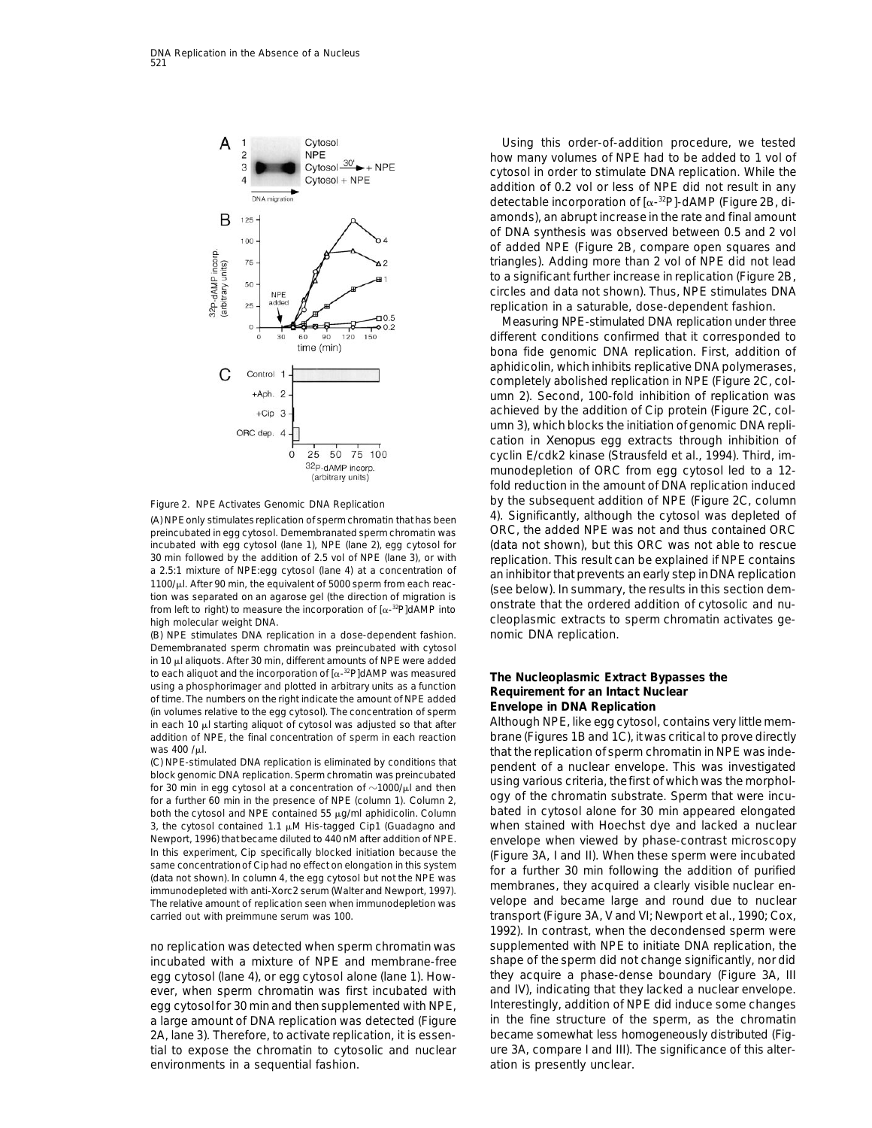



preincubated in egg cytosol. Demembranated sperm chromatin was ORC, the added NPE was not and thus contained ORC 30 min followed by the addition of 2.5 vol of NPE (lane 3), or with<br>a 2.5:1 mixture of NPE:egg cytosol (lane 4) at a concentration of<br>1100/µl. After 90 min, the equivalent of 5000 sperm from each reac-<br>tion was separated high molecular weight DNA. cleoplasmic extracts to sperm chromatin activates ge-

(B) NPE stimulates DNA replication in a dose-dependent fashion. nomic DNA replication. Demembranated sperm chromatin was preincubated with cytosol in 10  $\mu$ l aliquots. After 30 min, different amounts of NPE were added to each aliquot and the incorporation of  $[\alpha^{-32}P]dAMP$  was measured<br>
using a phosphorimager and plotted in arbitrary units as a function<br>
of time. The numbers on the right indicate the amount of NPE added<br>
(in volumes rela in each 10  $\mu$ l starting aliquot of cytosol was adjusted so that after Although NPE, like egg cytosol, contains very little memaddition of NPE, the final concentration of sperm in each reaction brane (Figures 1B and 1C), itwas critical to prove directly

for a further 60 min in the presence of NPE (column 1). Column 2, and Duply of the critorial in substrate. Sperific that were incu-<br>both the cytosol and NPE contained 55  $\mu$ g/ml aphidicolin. Column bated in cytosol alone 3, the cytosol contained 1.1 µM His-tagged Cip1 (Guadagno and when stained with Hoechst dye and lacked a nuclear Newport, 1996) that became diluted to 440 nM after addition of NPE. envelope when viewed by phase-contrast microscopy<br>In this experiment, Cip specifically blocked initiation because the (Figure 3A, Land II) When these sper In this experiment, Cip specifically blocked initiation because the<br>same concentration of Ciphad no effect on elongation in this system<br>(data not shown). In column 4, the egg cytosol but not the NPE was<br>immunodepleted with The relative amount of replication seen when immunodepletion was velope and became large and round due to nuclear

egg cytosol (lane 4), or egg cytosol alone (lane 1). How- they acquire a phase-dense boundary (Figure 3A, III ever, when sperm chromatin was first incubated with and IV), indicating that they lacked a nuclear envelope. egg cytosol for 30 min and then supplemented with NPE, literestingly, addition of NPE did induce some changes 2A, lane 3). Therefore, to activate replication, it is essen- became somewhat less homogeneously distributed (Figtial to expose the chromatin to cytosolic and nuclear ure 3A, compare I and III). The significance of this alterenvironments in a sequential fashion. The same area ation is presently unclear.

Using this order-of-addition procedure, we tested how many volumes of NPE had to be added to 1 vol of cytosol in order to stimulate DNA replication. While the addition of 0.2 vol or less of NPE did not result in any detectable incorporation of  $[\alpha^{-32}P]$ -dAMP (Figure 2B, diamonds), an abrupt increase in the rate and final amount of DNA synthesis was observed between 0.5 and 2 vol of added NPE (Figure 2B, compare open squares and triangles). Adding more than 2 vol of NPE did not lead to a significant further increase in replication (Figure 2B, circles and data not shown). Thus, NPE stimulates DNA replication in a saturable, dose-dependent fashion.

Measuring NPE-stimulated DNA replication under three different conditions confirmed that it corresponded to bona fide genomic DNA replication. First, addition of aphidicolin, which inhibits replicative DNA polymerases, completely abolished replication in NPE (Figure 2C, column 2). Second, 100-fold inhibition of replication was achieved by the addition of Cip protein (Figure 2C, column 3), which blocks the initiation of genomic DNA replication in *Xenopus* egg extracts through inhibition of cyclin E/cdk2 kinase (Strausfeld et al., 1994). Third, immunodepletion of ORC from egg cytosol led to a 12 fold reduction in the amount of DNA replication induced Figure 2. NPE Activates Genomic DNA Replication **Figure 2.** by the subsequent addition of NPE (Figure 2C, column (A) NPE only stimulates replication of sperm chromatin that has been 4). Significantly, although the cytosol was depleted of incubated with egg cytosol (lane 1), NPE (lane 2), egg cytosol for (data not shown), but this ORC was not able to rescue

Was 400 /µl.<br>
(C) NPE-stimulated DNA replication is eliminated by conditions that<br>
block genomic DNA replication. Sperm chromatin was preincubated<br>
for 30 min in egg cytosol at a concentration of ~1000/µl and then<br>
for a carried out with preimmune serum was 100. transport (Figure 3A, V and VI; Newport et al., 1990; Cox, 1992). In contrast, when the decondensed sperm were no replication was detected when sperm chromatin was supplemented with NPE to initiate DNA replication, the incubated with a mixture of NPE and membrane-free shape of the sperm did not change significantly, nor did a large amount of DNA replication was detected (Figure in the fine structure of the sperm, as the chromatin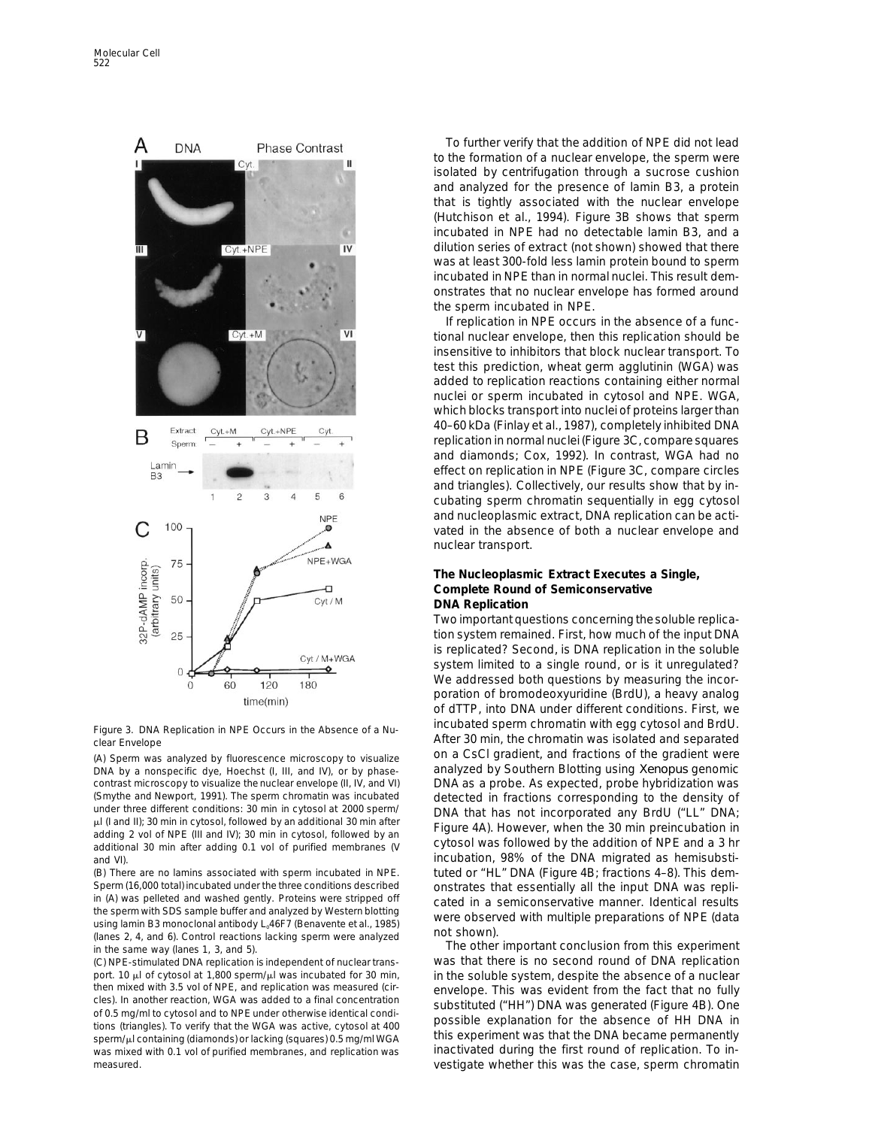

clear Envelope **After 30 min, the chromatin was isolated and separated** and separated

DNA by a nonspecific dye, Hoechst (I, III, and IV), or by phase- analyzed by Southern Blotting using *Xenopus* genomic contrast microscopy to visualize the nuclear envelope (II, IV, and VI) DNA as a probe. As expected, probe hybridization was<br>(Smythe and Newport, 1991). The sperm chromatin was incubated detected in fractions corresponding (Smythe and Newport, 1991). The sperm chromatin was incubated<br>
under three different conditions: 30 min in cytosol at 2000 sperm/<br>  $\mu$ [(and II); 30 min in cytosol, followed by an additional 30 min after<br>
adding 2 vol of N additional 30 min after adding 0.1 vol of purified membranes (V by USSOI was followed by the additional 30 min<br>incubation, 98% of the DNA migrated as hemisubsti-<br>incubation, 98% of the DNA migrated as hemisubsti-

Sperm (16,000 total) incubated under the three conditions described onstrates that essentially all the input DNA was repli-<br>in (A) was pelleted and washed gently. Proteins were stripped off cated in a semiconservative mann in (A) was pelleted and washed gently. Proteins were stripped off cated in a semiconservative manner. Identical results<br>the sperm with SDS sample buffer and analyzed by Western blotting successive observed with multiple pr the sperm with SDS sample burier and analyzed by western biotung<br>using lamin B3 monoclonal antibody  $L_0$ 46F7 (Benavente et al., 1985)<br>(lanes 2, 4, and 6). Control reactions lacking sperm were analyzed not shown).

port. 10 µl of cytosol at 1,800 sperm/µl was incubated for 30 min, in the soluble system, despite the absence of a nuclear<br>then mixed with 3.5 vol of NPE, and replication was measured (cir-<br>envelope. This was evident from then mixed with 3.5 vol of NPE, and replication was measured (cir-<br>cles). In another reaction, WGA was added to a final concentration<br>of 0.5 mg/ml to cytosol and to NPE under otherwise identical condi-<br>tions (triangles). T sperm/ $\mu$ l containing (diamonds) or lacking (squares) 0.5 mg/ml WGA this experiment was that the DNA became permanently was mixed with 0.1 vol of purified membranes, and replication was inactivated during the first round of replication. To in-

To further verify that the addition of NPE did not lead to the formation of a nuclear envelope, the sperm were isolated by centrifugation through a sucrose cushion and analyzed for the presence of lamin B3, a protein that is tightly associated with the nuclear envelope (Hutchison et al., 1994). Figure 3B shows that sperm incubated in NPE had no detectable lamin B3, and a dilution series of extract (not shown) showed that there was at least 300-fold less lamin protein bound to sperm incubated in NPE than in normal nuclei. This result demonstrates that no nuclear envelope has formed around the sperm incubated in NPE.

If replication in NPE occurs in the absence of a functional nuclear envelope, then this replication should be insensitive to inhibitors that block nuclear transport. To test this prediction, wheat germ agglutinin (WGA) was added to replication reactions containing either normal nuclei or sperm incubated in cytosol and NPE. WGA, which blocks transport into nuclei of proteins larger than 40–60 kDa (Finlay et al., 1987), completely inhibited DNA replication in normal nuclei (Figure 3C, compare squares and diamonds; Cox, 1992). In contrast, WGA had no effect on replication in NPE (Figure 3C, compare circles and triangles). Collectively, our results show that by incubating sperm chromatin sequentially in egg cytosol and nucleoplasmic extract, DNA replication can be activated in the absence of both a nuclear envelope and nuclear transport.

### **The Nucleoplasmic Extract Executes a Single, Complete Round of Semiconservative DNA Replication**

Two important questions concerning thesoluble replication system remained. First, how much of the input DNA is replicated? Second, is DNA replication in the soluble system limited to a single round, or is it unregulated? We addressed both questions by measuring the incorporation of bromodeoxyuridine (BrdU), a heavy analog of dTTP, into DNA under different conditions. First, we Figure 3. DNA Replication in NPE Occurs in the Absence of a Nu-<br>
Figure 3. DNA Replication in NPE Occurs in the Absence of a Nu-(A) Sperm was analyzed by fluorescence microscopy to visualize on a CsCl gradient, and fractions of the gradient were (B) There are no lamins associated with sperm incubated in NPE. tuted or "HL" DNA (Figure 4B; fractions 4–8). This dem-

The other important conclusion from this experiment in the same way (lanes 1, 3, and 5). (C) NPE-stimulated DNA replication is independent of nuclear trans- was that there is no second round of DNA replication measured. vestigate whether this was the case, sperm chromatin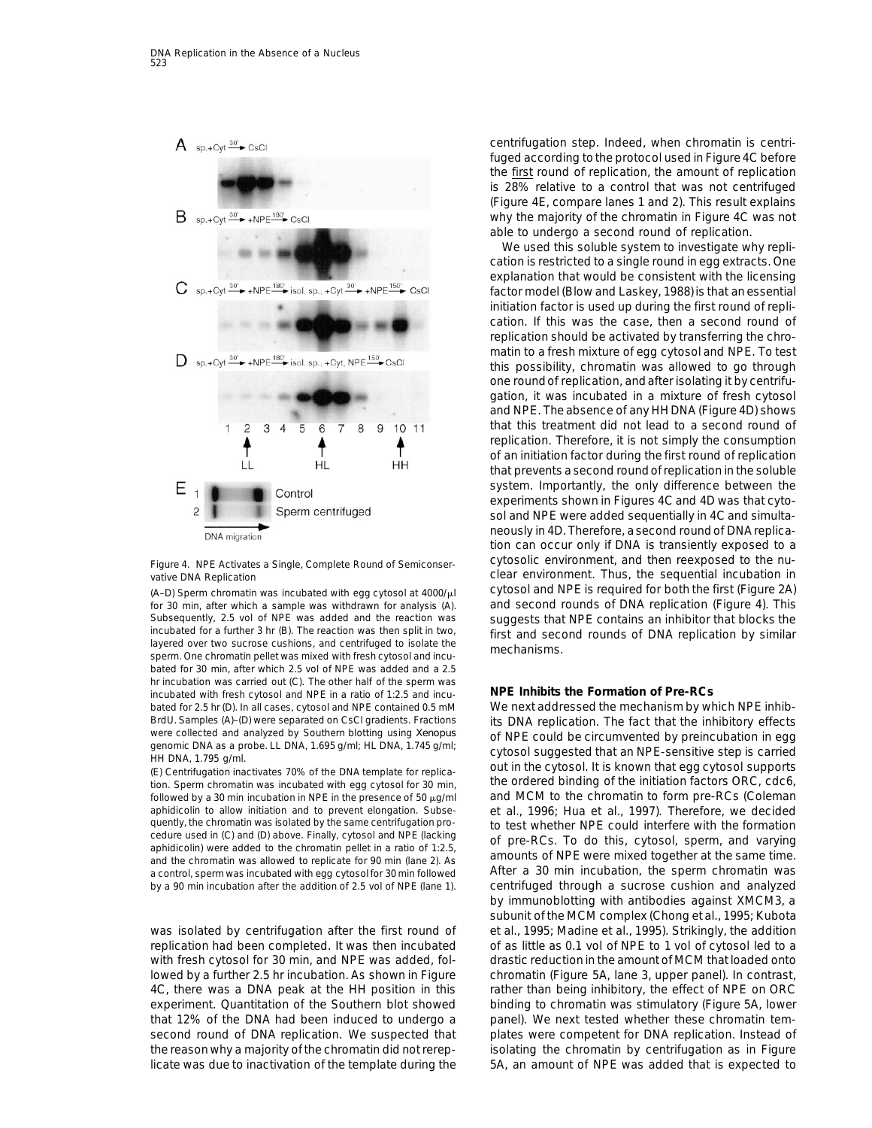

for 30 min, after which a sample was withdrawn for analysis (A). and second rounds of DNA replication (Figure 4). This Subsequently, 2.5 vol of NPE was added and the reaction was suggests that NPE contains an inhibitor that blocks the<br>incubated for a further 3 hr (B). The reaction was then split in two, first and second rounds of DNA repli incubated for a further 3 hr (B). The reaction was then split in two,<br>layered over two sucrose cushions, and centrifuged to isolate the first and second rounds of DNA replication by similar<br>sperm. One chromatin pellet was bated for 30 min, after which 2.5 vol of NPE was added and a 2.5 hr incubation was carried out (C). The other half of the sperm was incubated with fresh cytosol and NPE in a ratio of 1:2.5 and incu- **NPE Inhibits the Formation of Pre-RCs** bated for 2.5 hr (D). In all cases, cytosol and NPE contained 0.5 mM We next addressed the mechanism by which NPE inhib-BrdU. Samples (A)–(D) were separated on CsCl gradients. Fractions its DNA replication. The fact that the inhibitory effects were collected and analyzed by Southern blotting using *Xenopus* of NDE could be circumvented by p

tion. Sperm chromatin was incubated with egg cytosol for 30 min, aphidicolin to allow initiation and to prevent elongation. Subse- et al., 1996; Hua et al., 1997). Therefore, we decided<br>quently, the chromatin was isolated by the same centrifugation pro- to test whether NPF could interfe deduce used in (c) and (b) above. Finany, cyclosic and NPL (acknown to 1:2.5,<br>aphidiciolin) were added to the chromatin pellet in a ratio of 1:2.5,<br>and the chromatin was allowed to replicate for 90 min (lane 2). As<br>a contr a control, sperm was incubated with egg cytosol for 30 min followed by a 90 min incubation after the addition of 2.5 vol of NPE (lane 1). centrifuged through a sucrose cushion and analyzed

was isolated by centrifugation after the first round of et al., 1995; Madine et al., 1995). Strikingly, the addition replication had been completed. It was then incubated of as little as 0.1 vol of NPE to 1 vol of cytosol led to a with fresh cytosol for 30 min, and NPE was added, fol- drastic reduction in the amount of MCM that loaded onto lowed by a further 2.5 hr incubation. As shown in Figure chromatin (Figure 5A, lane 3, upper panel). In contrast, 4C, there was a DNA peak at the HH position in this rather than being inhibitory, the effect of NPE on ORC experiment. Quantitation of the Southern blot showed binding to chromatin was stimulatory (Figure 5A, lower that 12% of the DNA had been induced to undergo a panel). We next tested whether these chromatin temsecond round of DNA replication. We suspected that plates were competent for DNA replication. Instead of the reason why a majority of the chromatin did not rerep- isolating the chromatin by centrifugation as in Figure licate was due to inactivation of the template during the 5A, an amount of NPE was added that is expected to

centrifugation step. Indeed, when chromatin is centrifuged according tothe protocol used in Figure 4C before the first round of replication, the amount of replication is 28% relative to a control that was not centrifuged (Figure 4E, compare lanes 1 and 2). This result explains why the majority of the chromatin in Figure 4C was not able to undergo a second round of replication.

We used this soluble system to investigate why replication is restricted to a single round in egg extracts. One explanation that would be consistent with the licensing factor model (Blow and Laskey, 1988) is that an essential initiation factor is used up during the first round of replication. If this was the case, then a second round of replication should be activated by transferring the chromatin to a fresh mixture of egg cytosol and NPE. To test this possibility, chromatin was allowed to go through one roundof replication, and after isolating it by centrifugation, it was incubated in a mixture of fresh cytosol and NPE. The absence of any HH DNA (Figure 4D) shows that this treatment did not lead to a second round of replication. Therefore, it is not simply the consumption of an initiation factor during the first round of replication that prevents a second roundof replication in the soluble system. Importantly, the only difference between the experiments shown in Figures 4C and 4D was that cytosol and NPE were added sequentially in 4C and simultaneously in 4D. Therefore, a second round of DNA replication can occur only if DNA is transiently exposed to a Figure 4. NPE Activates a Single, Complete Round of Semiconser- Cytosolic environment, and then reexposed to the nuvative DNA Replication **contains the Clear environment.** Thus, the sequential incubation in (A–D) Sperm chromatin was incubated with egg cytosol at 4000/ $\mu$ l cytosol and NPE is required for both the first (Figure 2A)

were collected and analyzed by Southern blotting using *Xenopus*<br>genomic DNA as a probe. LL DNA, 1.695 g/ml; HL DNA, 1.745 g/ml;<br>HH DNA, 1.795 g/ml.<br>(E) Centrifugation inactivates 70% of the DNA template for replica-<br>tion followed by a 30 min incubation in NPE in the presence of 50  $\mu$ g/ml and MCM to the chromatin to form pre-RCs (Coleman quently, the chromatin was isolated by the same centrifugation pro-<br>cedure used in (C) and (D) above. Finally, cytosol and NPE (lacking<br>of proper DCs, To do this, outpool, operation and verying by immunoblotting with antibodies against XMCM3, a subunit of the MCM complex (Chong et al., 1995; Kubota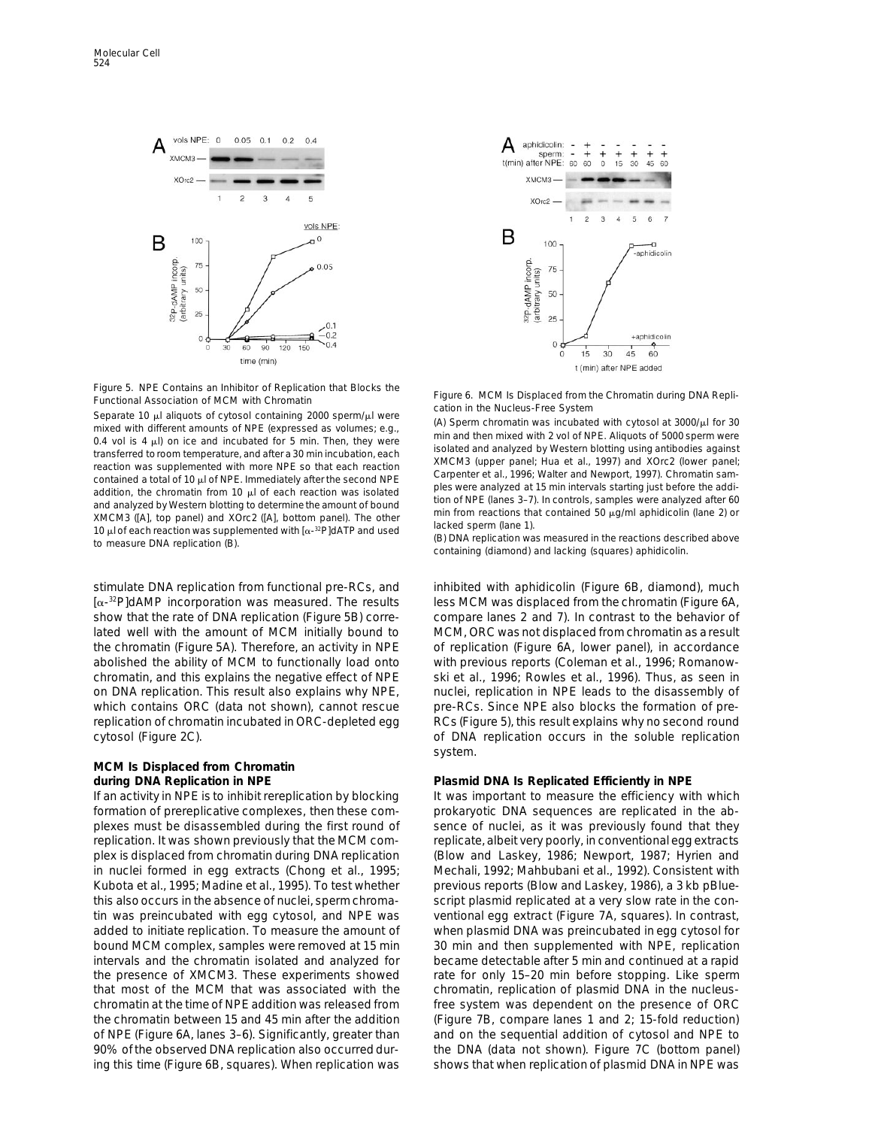

Figure 5. NPE Contains an Inhibitor of Replication that Blocks the<br>
Functional Association of MCM is Displaced from the Chromatin during DNA Repli-<br>
Separate 10  $\mu$  aliquots of Cytosol containing 2000 sperm/ $\mu$  were<br>
mi

stimulate DNA replication from functional pre-RCs, and inhibited with aphidicolin (Figure 6B, diamond), much  $[\alpha^{-32}P]$ dAMP incorporation was measured. The results less MCM was displaced from the chromatin (Figure 6A, show that the rate of DNA replication (Figure 5B) corre- compare lanes 2 and 7). In contrast to the behavior of lated well with the amount of MCM initially bound to MCM, ORC was not displaced from chromatin as a result the chromatin (Figure 5A). Therefore, an activity in NPE of replication (Figure 6A, lower panel), in accordance abolished the ability of MCM to functionally load onto with previous reports (Coleman et al., 1996; Romanowchromatin, and this explains the negative effect of NPE ski et al., 1996; Rowles et al., 1996). Thus, as seen in on DNA replication. This result also explains why NPE, nuclei, replication in NPE leads to the disassembly of which contains ORC (data not shown), cannot rescue pre-RCs. Since NPE also blocks the formation of prereplication of chromatin incubated in ORC-depleted egg RCs (Figure 5), this result explains why no second round cytosol (Figure 2C). **only in the soluble replication** occurs in the soluble replication

# **MCM Is Displaced from Chromatin**

If an activity in NPE is to inhibit rereplication by blocking It was important to measure the efficiency with which formation of prereplicative complexes, then these com- prokaryotic DNA sequences are replicated in the abplexes must be disassembled during the first round of sence of nuclei, as it was previously found that they replication. It was shown previously that the MCM com- replicate, albeit very poorly, in conventional egg extracts plex is displaced from chromatin during DNA replication (Blow and Laskey, 1986; Newport, 1987; Hyrien and in nuclei formed in egg extracts (Chong et al., 1995; Mechali, 1992; Mahbubani et al., 1992). Consistent with Kubota et al., 1995; Madine et al., 1995). To test whether previous reports (Blow and Laskey, 1986), a 3 kb pBluethis also occurs in the absence of nuclei, sperm chroma- script plasmid replicated at a very slow rate in the contin was preincubated with egg cytosol, and NPE was ventional egg extract (Figure 7A, squares). In contrast, added to initiate replication. To measure the amount of when plasmid DNA was preincubated in egg cytosol for bound MCM complex, samples were removed at 15 min 30 min and then supplemented with NPE, replication intervals and the chromatin isolated and analyzed for became detectable after 5 min and continued at a rapid the presence of XMCM3. These experiments showed rate for only 15–20 min before stopping. Like sperm that most of the MCM that was associated with the chromatin, replication of plasmid DNA in the nucleuschromatin at the time of NPE addition was released from free system was dependent on the presence of ORC the chromatin between 15 and 45 min after the addition (Figure 7B, compare lanes 1 and 2; 15-fold reduction) of NPE (Figure 6A, lanes 3–6). Significantly, greater than and on the sequential addition of cytosol and NPE to 90% of the observed DNA replication also occurred dur- the DNA (data not shown). Figure 7C (bottom panel) ing this time (Figure 6B, squares). When replication was shows that when replication of plasmid DNA in NPE was



system.

### **during DNA Replication in NPE Plasmid DNA Is Replicated Efficiently in NPE**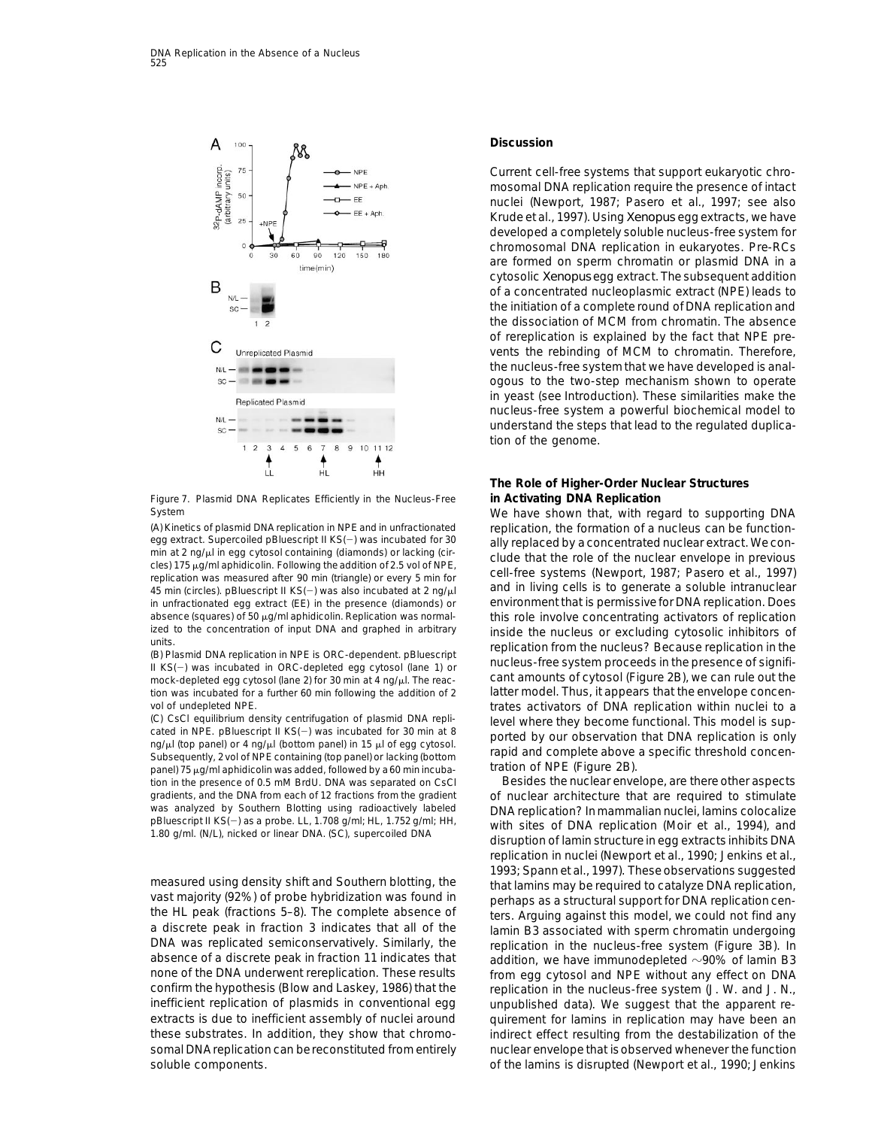

Figure 7. Plasmid DNA Replicates Efficiently in the Nucleus-Free **in Activating DNA Replication**

(A) Kinetics of plasmid DNA replication in NPE and in unfractionated replication, the formation of a nucleus can be function-<br>egg extract. Supercoiled pBluescript II KS(-) was incubated for 30 ally replaced by a concentrat

mock-depleted egg cytosol (lane 2) for 30 min at 4 ng/ $\mu$ l. The reac-<br>tion was incubated for a further 60 min following the addition of 2 latter model. Thus, it appears that the envelope concention was incubated for a further 60 min following the addition of 2

(C) CsCl equilibrium density centrifugation of plasmid DNA repli-<br>cated in NPE. pBluescript II KS(-) was incubated for 30 min at 8<br>ng/ $\mu$ ! (top panel) or 4 ng/ $\mu$ ! (bottom panel) in 15  $\mu$  of egg cytosol.<br>Subsequently, panel) 75 <sub>H</sub>g/ml aphidicolin was added, followed by a 60 min incuba- tration of NPE (Figure 2B).<br>tion in the presence of 0.5 mM BrdU. DNA was separated on CsCl Besides the nuclear envelope, are there other aspects tion in the presence of 0.5 mM BrdU. DNA was separated on CsCl

a discrete peak in fraction 3 indicates that all of the lamin B3 associated with sperm chromatin undergoing<br>DNA was replicated semiconservatively. Similarly, the later replication in the nucleus-free system (Figure 3B) DNA was replicated semiconservatively. Similarly, the experication in the nucleus-free system (Figure 3B). In<br>absence of a discrete peak in fraction 11 indicates that addition, we have immunodepleted  $\sim$ 90% of lamin B3 absence of a discrete peak in fraction 11 indicates that addition, we have immunodepleted  $\sim$ 90% of lamin B3<br>none of the DNA underwent rereplication. These results from egg cytosol and NPF without any effect on DNA none of the DNA underwent rereplication. These results from egg cytosol and NPE without any effect on DNA<br>confirm the hypothesis (Blow and Laskey, 1986) that the freplication in the nucleus-free system (J. W. and J. N inefficient replication of plasmids in conventional egg unpublished data). We suggest that the apparent reextracts is due to inefficient assembly of nuclei around quirement for lamins in replication may have been an these substrates. In addition, they show that chromo- indirect effect resulting from the destabilization of the somal DNA replication can be reconstituted from entirely nuclear envelope that is observed whenever the function soluble components.  $\Box$  of the lamins is disrupted (Newport et al., 1990; Jenkins

### **Discussion**

Current cell-free systems that support eukaryotic chromosomal DNA replication require the presence of intact nuclei (Newport, 1987; Pasero et al., 1997; see also Krude et al., 1997). Using *Xenopus* egg extracts, we have developed a completely soluble nucleus-free system for chromosomal DNA replication in eukaryotes. Pre-RCs are formed on sperm chromatin or plasmid DNA in a cytosolic *Xenopus* egg extract. The subsequent addition of a concentrated nucleoplasmic extract (NPE) leads to the initiation of a complete round of DNA replication and the dissociation of MCM from chromatin. The absence of rereplication is explained by the fact that NPE prevents the rebinding of MCM to chromatin. Therefore, the nucleus-free system that we have developed is analogous to the two-step mechanism shown to operate in yeast (see Introduction). These similarities make the nucleus-free system a powerful biochemical model to understand the steps that lead to the regulated duplication of the genome.

## **The Role of Higher-Order Nuclear Structures**

System We have shown that, with regard to supporting DNA egg extract. Supercolled pialuescript in KS(-) was included for 30<br>min at 2 ng/ $\mu$  in egg cytosol containing (diamonds) or lacking (cir-<br>cles) 175  $\mu$ g/ml aphidicolin. Following the addition of 2.5 vol of NPE,<br>replicatio 45 min (circles), pBluescript II KS(-) was also incubated at 2 ng/ $\mu$  and in living cells is to generate a soluble intranuclear in unfractionated egg extract (EE) in the presence (diamonds) or environment that is permissive for DNA replication. Does absence (squares) of 50 µg/ml aphidicolin. Replication was normal-<br>
this role involve concentrating activators of replication ized to the concentration of input DNA and graphed in arbitrary<br>
(B) Plasmid DNA replication in NPE is ORC-dependent. pBluescript<br>
(B) Plasmid DNA replication in NPE is ORC-dependent. pBluescript<br>
IKS(-) was incubated in O vol of undepleted NPE.<br>(C) CsCl equilibrium density centrifugation of plasmid DNA repli-<br>(C) CsCl equilibrium density centrifugation of plasmid DNA repli-<br>level where they become functional. This model is sup-

gradients, and the DNA from each of 12 fractions from the gradient of nuclear architecture that are required to stimulate was analyzed by Southern Blotting using radioactively labeled DNA replication? In mammalian nuclei, was analyzed by Southern Blotting using radioactively labeled DNA replication? In mammalian nuclei, lamins colocalize<br>pBluescript II KS(–) as a probe. LL, 1.708 g/ml; HL, 1.752 g/ml; HH, with sites of DNA replication (Moir replication in nuclei (Newport et al., 1990; Jenkins et al., measured using density shift and Southern blotting, the<br>vast majority (92%) of probe hybridization was found in<br>the HL peak (fractions 5–8). The complete absence of<br>a discrete peak in fraction 3 indicates that all of the<br>a replication in the nucleus-free system (J. W. and J. N.,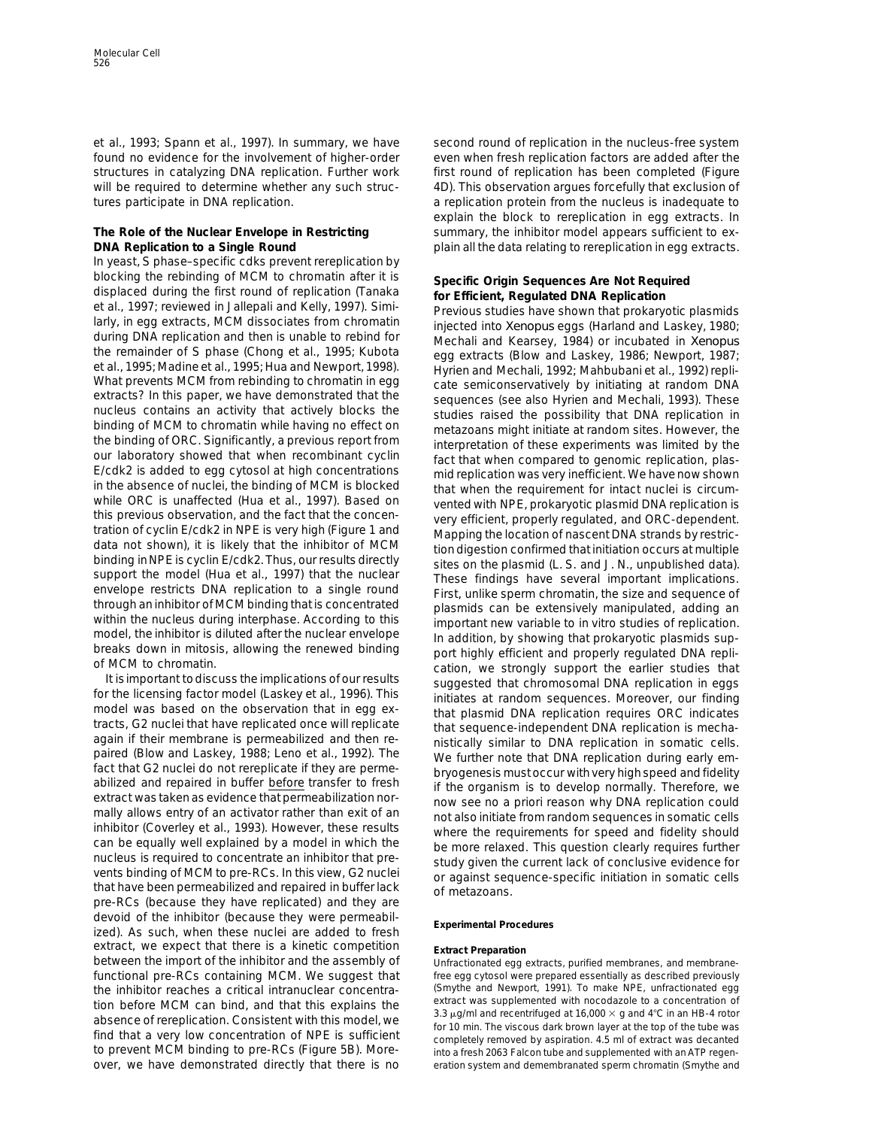et al., 1993; Spann et al., 1997). In summary, we have second round of replication in the nucleus-free system found no evidence for the involvement of higher-order even when fresh replication factors are added after the structures in catalyzing DNA replication. Further work first round of replication has been completed (Figure will be required to determine whether any such struc-<br>4D). This observation argues forcefully that exclusion of

In yeast, S phase–specific cdks prevent rereplication by

pre-RCs (because they have replicated) and they are devoid of the inhibitor (because they were permeabil- **Experimental Procedures** ized). As such, when these nuclei are added to fresh extract, we expect that there is a kinetic competition **Extract Preparation**<br>between the import of the inhibitor and the assembly of Unfractionated egg functional pre-RCs containing MCM. We suggest that free egg cytosol were prepared essentially as described previously<br>the inhibitor reaches a critical intranuclear concentra-<br>Smythe and Newport, 1991). To make NPE, unfract the inhibitor reaches a critical intranuclear concentra-<br>tion before MCM can bind and that this explains the extract was supplemented with nocodazole to a concentration of tion before MCM can bind, and that this explains the<br>absence of rereplication. Consistent with this model, we<br>find that a very low concentration of NPE is sufficient<br>find that a very low concentration of NPE is sufficient to prevent MCM binding to pre-RCs (Figure 5B). More- into a fresh 2063 Falcon tube and supplemented with an ATP regenover, we have demonstrated directly that there is no eration system and demembranated sperm chromatin (Smythe and

tures participate in DNA replication.  $\blacksquare$  a replication protein from the nucleus is inadequate to explain the block to rereplication in egg extracts. In The Role of the Nuclear Envelope in Restricting summary, the inhibitor model appears sufficient to ex-**DNA Replication to a Single Round** plain all the data relating to rereplication in egg extracts.

blocking the rebristing of Motol to chromatin affort it is Specific Origins Squaretes Are Not Required to the change of the specific origins of the property of the specific change of the specific change of the specific cha

Unfractionated egg extracts, purified membranes, and membrane-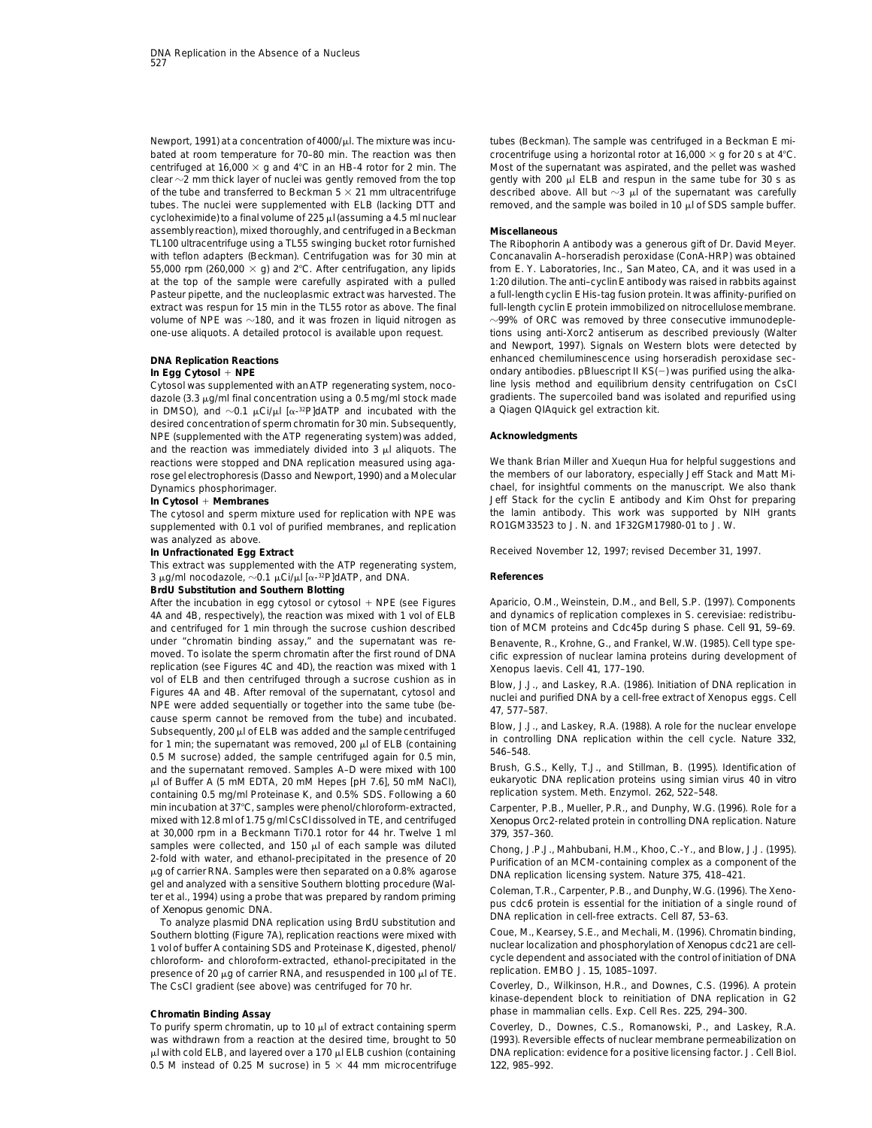Newport, 1991) at a concentration of 4000/µl. The mixture was incu-<br>
tubes (Beckman). The sample was centrifuged in a Beckman E mixture was incubated at room temperature for 70–80 min. The reaction was then crocentrifuge using a horizontal rotor at 16,000  $\times$  g for 20 s at 4°C. centrifuged at 16,000  $\times$  g and 4°C in an HB-4 rotor for 2 min. The Most of the supernatant was aspirated, and the pellet was washed clear  $\sim$ 2 mm thick layer of nuclei was gently removed from the top gently with 200 µl ELB and respun in the same tube for 30 s as of the tube and transferred to Beckman 5  $\times$  21 mm ultracentrifuge described above. All but  $\sim$ 3 µl of the supernatant was carefully tubes. The nuclei were supplemented with ELB (lacking DTT and removed, and the sample was boiled in 10  $\mu$ l of SDS sample buffer. cycloheximide) to a final volume of 225 µl (assuming a 4.5 ml nuclear assemblyreaction), mixed thoroughly, and centrifugedin a Beckman **Miscellaneous** TL100 ultracentrifuge using a TL55 swinging bucket rotor furnished The Ribophorin A antibody was a generous gift of Dr. David Meyer. 55,000 rpm (260,000  $\times$  g) and 2°C. After centrifugation, any lipids from E. Y. Laboratories, Inc., San Mateo, CA, and it was used in a at the top of the sample were carefully aspirated with a pulled 1:20 dilution. The anti–cyclinE antibody was raised in rabbits against Pasteur pipette, and the nucleoplasmic extract was harvested. The a full-length cyclin E His-tag fusion protein. It was affinity-purified on extract was respun for 15 min in the TL55 rotor as above. The final full-length cyclin E protein immobilized on nitrocellulose membrane. volume of NPE was  $\sim$ 180, and it was frozen in liquid nitrogen as  $\sim$ 99% of ORC was removed by three consecutive immunodeple-

dazole (3.3  $\mu$ g/ml final concentration using a 0.5 mg/ml stock made gradients. The supercoiled band was in DMSO), and  $\sim$ 0.1  $\mu$ Ci/ $\mu$  I  $\alpha$ -<sup>32</sup>PIdATP and incubated with the a Qiagen QIAquick gel extraction kit. in DMSO), and  $\sim$ 0.1  $\mu$ Ci/ $\mu$ I [ $\alpha$ -<sup>32</sup>P]dATP and incubated with the desired concentration of sperm chromatin for 30 min. Subsequently, NPE (supplemented with the ATP regenerating system) was added, **Acknowledgments** and the reaction was immediately divided into  $3 \mu l$  aliquots. The reactions were stopped and DNA replication measured using aga- We thank Brian Miller and Xuequn Hua for helpful suggestions and rose gel electrophoresis (Dasso and Newport, 1990) and a Molecular the members of our laboratory, especially Jeff Stack and Matt Mi-

supplemented with 0.1 vol of purified membranes, and replication was analyzed as above.

This extract was supplemented with the ATP regenerating system,  $3 \mu$ g/ml nocodazole,  $\sim 0.1 \mu$ Ci/ $\mu$ l [ $\alpha$ -<sup>32</sup>P]dATP, and DNA. **References** 

*BrdU Substitution and Southern Blotting*

4A and 4B, respectively), the reaction was mixed with 1 vol of ELB and dynamics of replication complexes in S. cerevisiae: redistribuand centrifuged for 1 min through the sucrose cushion described tion of MCM proteins and Cdc45p during S phase. Cell *91*, 59–69. under "chromatin binding assay," and the supernatant was re-<br>moved. To isolate the sperm chromatin after the first round of DNA cific expression of nuclear lamina proteins during development of replication (see Figures 4C and 4D), the reaction was mixed with 1 Xenopus laevis. Cell *41*, 177–190. vol of ELB and then centrifuged through a sucrose cushion as in<br>Figures 4A and 4B. After removal of the supernatant, cytosol and<br>NPE were added sequentially or together into the same tube (be-<br>cause sperm cannot be removed and the supernatant removed. Samples A–D were mixed with 100 Brush, G.S., Kelly, T.J., and Stillman, B. (1995). Identification of under the mixed with 100 Brush, G.S., Kelly, T.J., and Stillman, B. (1995). Identification o ul of Buffer A (5 mM EDTA, 20 mM Hepes [pH 7.6], 50 mM NaCl), eukaryotic DNA replication proteins using simian<br>Containing 0.5 mg/ml Proteinase K, and 0.5% SDS. Following a 60 peplication system. Meth. Enzymol. *262*, 522– containing 0.5 mg/ml Proteinase K, and 0.5% SDS. Following a 60 min incubation at 37°C, samples were phenol/chloroform-extracted, Carpenter, P.B., Mueller, P.R., and Dunphy, W.G. (1996). Role for a<br>mixed with 12.8 ml of 1.75 g/ml CsCl dissolved in TE, and centrifuged *Kenopus* Orc2-rel at 30,000 rpm in a Beckmann Ti70.1 rotor for 44 hr. Twelve 1 ml *379*, 357–360. samples were collected, and 150  $\mu$  of each sample was diluted<br>2-fold with water, and ethanol-precipitated in the presence of 20<br> $\mu$ g of carrier RNA. Samples were then separated on a 0.8% agarose<br>ael and analyzed with a

gel and analyzed with a sensitive Southern blotting procedure (Wal-<br>
ter et al., 1994) using a probe that was prepared by random priming<br>
of Xenopus genomic DNA.<br>
To analyze plasmid DNA replication using BrdU substitution The CsCl gradient (see above) was centrifuged for 70 hr. Coverley, D., Wilkinson, H.R., and Downes, C.S. (1996). A protein

0.5 M instead of 0.25 M sucrose) in  $5 \times 44$  mm microcentrifuge  $122$ , 985-992.

Concanavalin A-horseradish peroxidase (ConA-HRP) was obtained one-use aliquots. A detailed protocol is available upon request. tions using anti-Xorc2 antiserum as described previously (Walter and Newport, 1997). Signals on Western blots were detected by **DNA Replication Reactions** enhanced chemiluminescence using horseradish peroxidase sec-*In Egg Cytosol* + *NPE* ondary antibodies. pBluescript II KS(-) was purified using the alka-<br>Cytosol was supplemented with an ATP regenerating system noco-<br>Ine lysis method and equilibrium density centrifugation on CsCl Cytosol was supplemented with an ATP regenerating system, noco- line lysis method and equilibrium density centrifugation on CsCl<br>dazole (3.3 µg/ml final concentration using a 0.5 mg/ml stock made gradients. The supercoile

Dynamics phosphorimager.<br> **Cynamics phosphorimager.** Chael, for insightful comments on the manuscript. We also thank<br>
Jeff Stack for the cyclin E antibody and Kim Ohst for preparing Jeff Stack for the cyclin E antibody and Kim Ohst for preparing The cytosol and sperm mixture used for replication with NPE was the lamin antibody. This work was supported by NIH grants<br>supplemented with 0.1 vol of purified membranes, and replication RO1GM33523 to J. N. and 1F32GM17980

**In Unfractionated Egg Extract** Received November 12, 1997; revised December 31, 1997.

After the incubation in egg cytosol or cytosol + NPE (see Figures Aparicio, O.M., Weinstein, D.M., and Bell, S.P. (1997). Components

cific expression of nuclear lamina proteins during development of

Xenopus Orc2-related protein in controlling DNA replication. Nature

kinase-dependent block to reinitiation of DNA replication in G2 **Chromatin Binding Assay** phase in mammalian cells. Exp. Cell Res. *225*, 294–300.

To purify sperm chromatin, up to 10 µl of extract containing sperm Coverley, D., Downes, C.S., Romanowski, P., and Laskey, R.A. was withdrawn from a reaction at the desired time, brought to 50 (1993). Reversible effects of nuclear membrane permeabilization on μl with cold ELB, and layered over a 170 μl ELB cushion (containing DNA replication: evidence for a positive licensing factor. J. Cell Biol.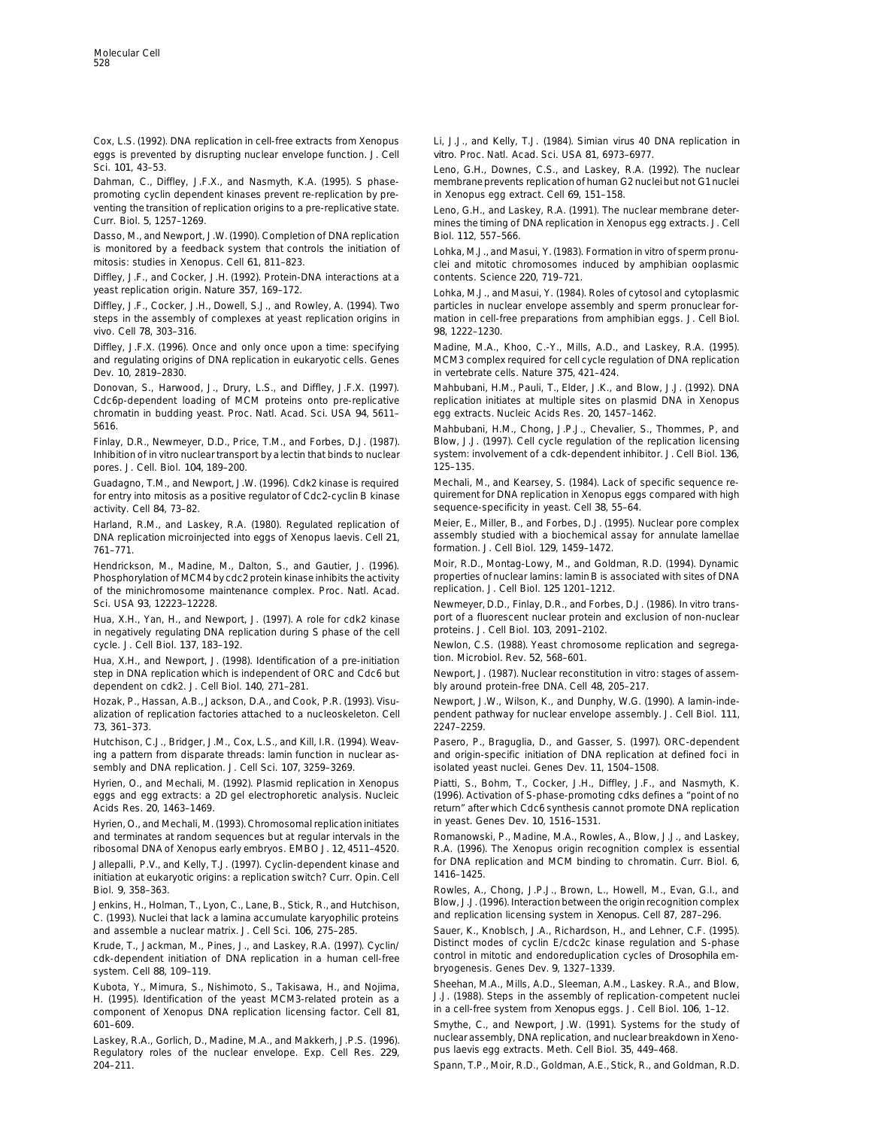Cox, L.S. (1992). DNA replication in cell-free extracts from Xenopus Li, J.J., and Kelly, T.J. (1984). Simian virus 40 DNA replication *in* eggs is prevented by disrupting nuclear envelope function. J. Cell *vitro*. Proc. Natl. Acad. Sci. USA *81*, 6973–6977.

Dahman, C., Diffley, J.F.X., and Nasmyth, K.A. (1995). S phase- membrane prevents replication of human G2 nucleibut not G1nuclei promoting cyclin dependent kinases prevent re-replication by pre- in Xenopus egg extract. Cell *69*, 151–158. venting the transition of replication origins to a pre-replicative state.<br>Curr. Biol. 5, 1257–1269. Lell entry of DNA replication in Xenopus egg extracts. J. Cell

Dasso, M., and Newport, J.W. (1990). Completion of DNA replication Biol. *112*, 557–566.

Diffley, J.F., and Cocker, J.H. (1992). Protein-DNA interactions at a contents. Science *220*, 719–721. yeast replication origin. Nature 357, 169-172. The State of Lohka, M.J., and Masui, Y. (1984). Roles of cytosol and cytoplasmic

Diffley, J.F., Cocker, J.H., Dowell, S.J., and Rowley, A. (1994). Two particles in nuclear envelope assembly and sperm pronuclear forsteps in the assembly of complexes at yeast replication origins in mation in cell-free preparations from amphibian eggs. J. Cell Biol. vivo. Cell *78*, 303–316. *98*, 1222–1230.

and regulating origins of DNA replication in eukaryotic cells. Genes MCM3 complex required for cell cycle regulation of DNA replication Dev. *10*, 2819–2830. in vertebrate cells. Nature *375*, 421–424.

Donovan, S., Harwood, J., Drury, L.S., and Diffley, J.F.X. (1997). Mahbubani, H.M., Pauli, T., Elder, J.K., and Blow, J.J. (1992). DNA Cdc6p-dependent loading of MCM proteins onto pre-replicative replication initiates at multiple sites on plasmid DNA in Xenopus chromatin in budding yeast. Proc. Natl. Acad. Sci. USA *94*, 5611– egg extracts. Nucleic Acids Res. *20*, 1457–1462.

Finlay, D.R., Newmeyer, D.D., Price, T.M., and Forbes, D.J. (1987). Blow, J.J. (1997). Cell cycle regulation of the replication licensing Inhibition of in vitro nuclear transport by a lectin that binds to nuclear system: involvement of a cdk-dependent inhibitor. J. Cell Biol. 136, pores. J. Cell. Biol. 104, 189-200. 125-135.

for entry into mitosis as a positive regulator of Cdc2-cyclin B kinase quirement for DNA replication in Xenopus eggs compared with high activity. Cell 84, 73-82. The sequence-specificity in yeast. Cell 38, 55-64.

761–771. formation. J. Cell Biol. *129*, 1459–1472.

Phosphorylation of MCM4 by cdc2 protein kinase inhibits the activity properties of nuclear lamins: lamin B is a<br>10 of the minichromosome maintenance complex. Proc. Natl. Acad. Preplication. J. Cell Biol. 125 1201-1212. of the minichromosome maintenance complex. Proc. Natl. Acad. Sci. USA *93*, 12223–12228. Newmeyer, D.D., Finlay, D.R., and Forbes, D.J. (1986). In vitro trans-

in negatively regulating DNA replication during S phase of the cell cycle. J. Cell Biol. *137*, 183–192. Newlon, C.S. (1988). Yeast chromosome replication and segrega-

Hua, X.H., and Newport, J. (1998). Identification of a pre-initiation tion. Microbiol. Rev. *52*, 568–601. step in DNA replication which is independent of ORC and Cdc6 but Newport, J. (1987). Nuclear reconstitution in vitro: stages of assemdependent on cdk2. J. Cell Biol. *140*, 271–281. bly around protein-free DNA. Cell *48*, 205–217.

alization of replication factories attached to a nucleoskeleton. Cell pendent pathway for nuclear envelope assembly. J. Cell Biol. *111*, *73*, 361–373. 2247–2259.

ing a pattern from disparate threads: lamin function in nuclear as- and origin-specific initiation of DNA replication at defined foci in sembly and DNA replication. J. Cell Sci. *107*, 3259–3269. isolated yeast nuclei. Genes Dev. *11*, 1504–1508.

Hyrien, O., and Mechali, M. (1992). Plasmid replication in Xenopus Piatti, S., Bohm, T., Cocker, J.H., Diffley, J.F., and Nasmyth, K. eggs and egg extracts: a 2D gel electrophoretic analysis. Nucleic (1996). Activation of S-phase-promoting cdks defines a "point of no

Hyrien, O., and Mechali, M. (1993). Chromosomal replication initiates in yeast. Genes Dev. *10*, 1516–1531. and terminates at random sequences but at regular intervals in the Romanowski, P., Madine, M.A., Rowles, A., Blow, J.J., and Laskey,

initiation at eukaryotic origins: a replication switch? Curr. Opin. Cell Biol. *9*, 358–363. Rowles, A., Chong, J.P.J., Brown, L., Howell, M., Evan, G.I., and

C. (1993). Nuclei that lack a lamina accumulate karyophilic proteins and replication licensing system in *Xenopus*. Cell *87*, 287–296. and assemble a nuclear matrix. J. Cell Sci. *106*, 275–285. Sauer, K., Knoblsch, J.A., Richardson, H., and Lehner, C.F. (1995).

cdk-dependent initiation of DNA replication in a human cell-free bryogenesis. Genes Dev. *9*, 1327–1339. system. Cell *88*, 109–119.

H. (1995). Identification of the yeast MCM3-related protein as a J.J. (1988). Steps in the assembly of replication-competent nucleication of the experiment of Xenopus DNA replication licensing factor. Cell as a U.J. (1988) component of Xenopus DNA replication licensing factor. Cell 81,

Regulatory roles of the nuclear envelope. Exp. Cell Res. 229, 204–211. Spann, T.P., Moir, R.D., Goldman, A.E., Stick, R., and Goldman, R.D.

Sci. *101*, 43–53. Leno, G.H., Downes, C.S., and Laskey, R.A. (1992). The nuclear

mines the timing of DNA replication in Xenopus egg extracts. J. Cell

is monitored by a feedback system that controls the initiation of Lohka, M.J., and Masui, Y. (1983). Formation in vitro of sperm pronu-<br>mitosis: studies in Xenopus. Cell 61, 811–823. clei and mitotic chromosomes induced by amphibian ooplasmic

Diffley, J.F.X. (1996). Once and only once upon a time: specifying Madine, M.A., Khoo, C.-Y., Mills, A.D., and Laskey, R.A. (1995).

5616. Mahbubani, H.M., Chong, J.P.J., Chevalier, S., Thommes, P, and

Guadagno, T.M., and Newport, J.W. (1996). Cdk2 kinase is required Mechali, M., and Kearsey, S. (1984). Lack of specific sequence re-

Harland, R.M., and Laskey, R.A. (1980). Regulated replication of Meier, E., Miller, B., and Forbes, D.J. (1995). Nuclear pore complex DNA replication microinjected into eggs of Xenopus laevis. Cell *21*, assembly studied with a biochemical assay for annulate lamellae

Hendrickson, M., Madine, M., Dalton, S., and Gautier, J. (1996). Moir, R.D., Montag-Lowy, M., and Goldman, R.D. (1994). Dynamic<br>Phosphorylation of MCM4 by cdc2 protein kinase inhibits the activity properties of nuclear lam

Hua, X.H., Yan, H., and Newport, J. (1997). A role for cdk2 kinase port of a fluorescent nuclear protein and exclusion of non-nuclear<br>in negatively regulating DNA replication during S phase of the cell proteins. J. Cell Bi

Hozak, P., Hassan, A.B., Jackson, D.A., and Cook, P.R. (1993). Visu- Newport, J.W., Wilson, K., and Dunphy, W.G. (1990). A lamin-inde-

Hutchison, C.J., Bridger, J.M., Cox, L.S., and Kill, I.R. (1994). Weav- Pasero, P., Braguglia, D., and Gasser, S. (1997). ORC-dependent

Acids Res. *20*, 1463–1469. return" after which Cdc6 synthesis cannot promote DNA replication

ribosomal DNA of Xenopus early embryos. EMBO J. *12*, 4511–4520. R.A. (1996). The Xenopus origin recognition complex is essential Jallepalli, P.V., and Kelly, T.J. (1997). Cyclin-dependent kinase and for DNA replication and MCM binding to chromatin. Curr. Biol. *6*, *initiation at eukaryotic crigins: a replication switch? Curr. Opin Cell* 1416-1425.

Jenkins, H., Holman, T., Lyon, C., Lane, B., Stick, R., and Hutchison, Blow, J.J. (1996). Interaction between the origin recognition complex

Krude, T., Jackman, M., Pines, J., and Laskey, R.A. (1997). Cyclin/ Distinct modes of cyclin E/cdc2c kinase regulation and S-phase<br>cdk-dependent initiation of DNA replication in a human cell-free control in mitotic and end

Kubota, Y., Mimura, S., Nishimoto, S., Takisawa, H., and Nojima, Sheehan, M.A., Mills, A.D., Sleeman, A.M., Laskey. R.A., and Blow, H. (1995). Identification of the veast MCM3-related protein as a J.J. (1988). Steps in the

601–609. Smythe, C., and Newport, J.W. (1991). Systems for the study of Laskey, R.A., Gorlich, D., Madine, M.A., and Makkerh, J.P.S. (1996). Thuclear assembly, DNA replication, and nuclear breakdown in Xeno-<br>Regulatory roles of the nuclear envelope. Exp. Cell Res. 229. Pus laevis egg extracts.